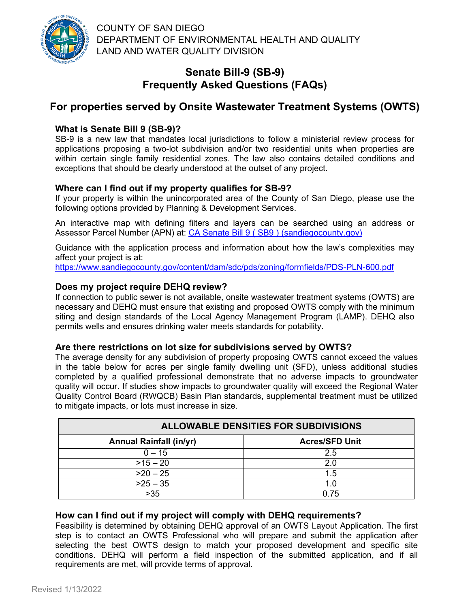

COUNTY OF SAN DIEGO DEPARTMENT OF ENVIRONMENTAL HEALTH AND QUALITY LAND AND WATER QUALITY DIVISION

## **Senate Bill-9 (SB-9) Frequently Asked Questions (FAQs)**

# **For properties served by Onsite Wastewater Treatment Systems (OWTS)**

## **What is Senate Bill 9 (SB-9)?**

SB-9 is a new law that mandates local jurisdictions to follow a ministerial review process for applications proposing a two-lot subdivision and/or two residential units when properties are within certain single family residential zones. The law also contains detailed conditions and exceptions that should be clearly understood at the outset of any project.

## **Where can I find out if my property qualifies for SB-9?**

If your property is within the unincorporated area of the County of San Diego, please use the following options provided by Planning & Development Services.

An interactive map with defining filters and layers can be searched using an address or Assessor Parcel Number (APN) at: [CA Senate Bill 9 \( SB9 \) \(sandiegocounty.gov\)](https://gis-portal.sandiegocounty.gov/arcgis/apps/webappviewer/index.html?id=087045b76abd43299f5a288fa2f594ff)

Guidance with the application process and information about how the law's complexities may affect your project is at:

<https://www.sandiegocounty.gov/content/dam/sdc/pds/zoning/formfields/PDS-PLN-600.pdf>

### **Does my project require DEHQ review?**

If connection to public sewer is not available, onsite wastewater treatment systems (OWTS) are necessary and DEHQ must ensure that existing and proposed OWTS comply with the minimum siting and design standards of the Local Agency Management Program (LAMP). DEHQ also permits wells and ensures drinking water meets standards for potability.

#### **Are there restrictions on lot size for subdivisions served by OWTS?**

The average density for any subdivision of property proposing OWTS cannot exceed the values in the table below for acres per single family dwelling unit (SFD), unless additional studies completed by a qualified professional demonstrate that no adverse impacts to groundwater quality will occur. If studies show impacts to groundwater quality will exceed the Regional Water Quality Control Board (RWQCB) Basin Plan standards, supplemental treatment must be utilized to mitigate impacts, or lots must increase in size.

| <b>ALLOWABLE DENSITIES FOR SUBDIVISIONS</b> |                       |
|---------------------------------------------|-----------------------|
| <b>Annual Rainfall (in/yr)</b>              | <b>Acres/SFD Unit</b> |
| $0 - 15$                                    | 2.5                   |
| $>15 - 20$                                  | 20                    |
| $>20-25$                                    | 1.5                   |
| $>25 - 35$                                  |                       |
| $>35$                                       | ი 75                  |

### **How can I find out if my project will comply with DEHQ requirements?**

Feasibility is determined by obtaining DEHQ approval of an OWTS Layout Application. The first step is to contact an OWTS Professional who will prepare and submit the application after selecting the best OWTS design to match your proposed development and specific site conditions. DEHQ will perform a field inspection of the submitted application, and if all requirements are met, will provide terms of approval.